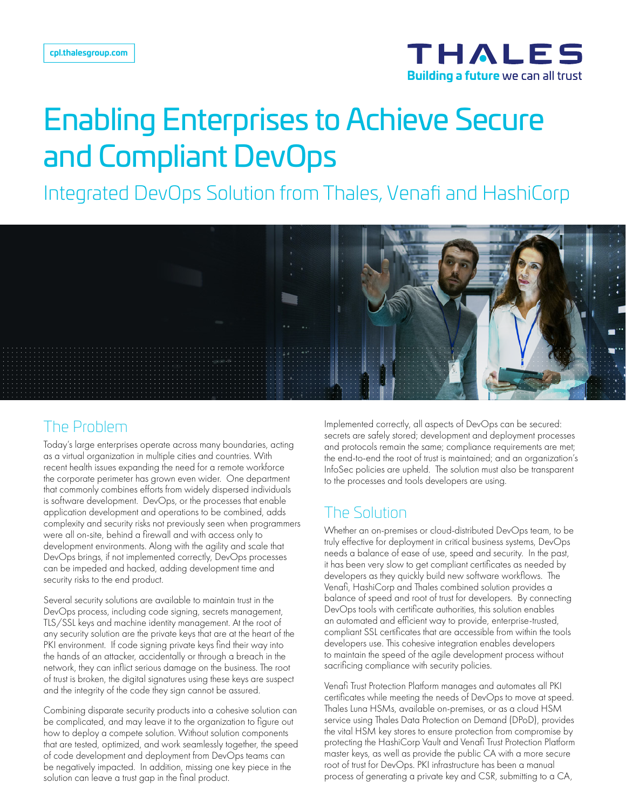

# Enabling Enterprises to Achieve Secure and Compliant DevOps

Integrated DevOps Solution from Thales, Venafi and HashiCorp



#### The Problem

Today's large enterprises operate across many boundaries, acting as a virtual organization in multiple cities and countries. With recent health issues expanding the need for a remote workforce the corporate perimeter has grown even wider. One department that commonly combines efforts from widely dispersed individuals is software development. DevOps, or the processes that enable application development and operations to be combined, adds complexity and security risks not previously seen when programmers were all on-site, behind a firewall and with access only to development environments. Along with the agility and scale that DevOps brings, if not implemented correctly, DevOps processes can be impeded and hacked, adding development time and security risks to the end product.

Several security solutions are available to maintain trust in the DevOps process, including code signing, secrets management, TLS/SSL keys and machine identity management. At the root of any security solution are the private keys that are at the heart of the PKI environment. If code signing private keys find their way into the hands of an attacker, accidentally or through a breach in the network, they can inflict serious damage on the business. The root of trust is broken, the digital signatures using these keys are suspect and the integrity of the code they sign cannot be assured.

Combining disparate security products into a cohesive solution can be complicated, and may leave it to the organization to figure out how to deploy a compete solution. Without solution components that are tested, optimized, and work seamlessly together, the speed of code development and deployment from DevOps teams can be negatively impacted. In addition, missing one key piece in the solution can leave a trust gap in the final product.

Implemented correctly, all aspects of DevOps can be secured: secrets are safely stored; development and deployment processes and protocols remain the same; compliance requirements are met; the end-to-end the root of trust is maintained; and an organization's InfoSec policies are upheld. The solution must also be transparent to the processes and tools developers are using.

#### The Solution

Whether an on-premises or cloud-distributed DevOps team, to be truly effective for deployment in critical business systems, DevOps needs a balance of ease of use, speed and security. In the past, it has been very slow to get compliant certificates as needed by developers as they quickly build new software workflows. The Venafi, HashiCorp and Thales combined solution provides a balance of speed and root of trust for developers. By connecting DevOps tools with certificate authorities, this solution enables an automated and efficient way to provide, enterprise-trusted, compliant SSL certificates that are accessible from within the tools developers use. This cohesive integration enables developers to maintain the speed of the agile development process without sacrificing compliance with security policies.

Venafi Trust Protection Platform manages and automates all PKI certificates while meeting the needs of DevOps to move at speed. Thales Luna HSMs, available on-premises, or as a cloud HSM service using Thales Data Protection on Demand (DPoD), provides the vital HSM key stores to ensure protection from compromise by protecting the HashiCorp Vault and Venafi Trust Protection Platform master keys, as well as provide the public CA with a more secure root of trust for DevOps. PKI infrastructure has been a manual process of generating a private key and CSR, submitting to a CA,